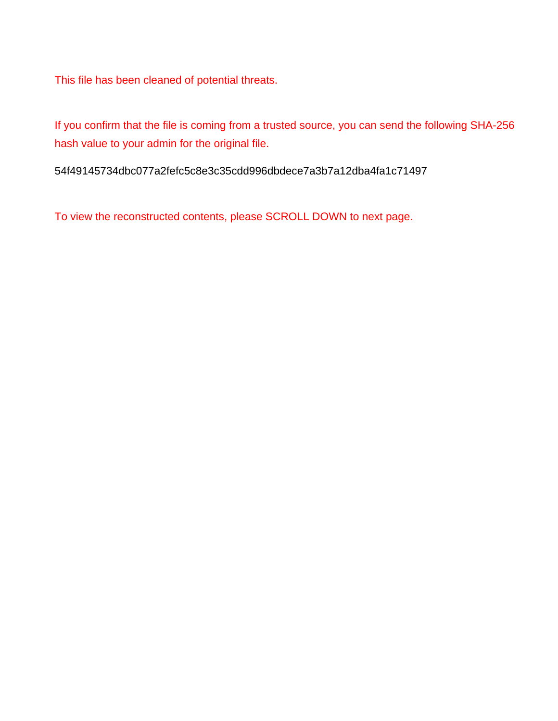This file has been cleaned of potential threats.

If you confirm that the file is coming from a trusted source, you can send the following SHA-256 hash value to your admin for the original file.

54f49145734dbc077a2fefc5c8e3c35cdd996dbdece7a3b7a12dba4fa1c71497

To view the reconstructed contents, please SCROLL DOWN to next page.